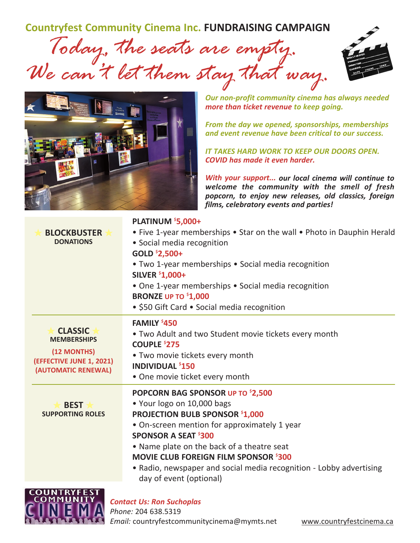**Countryfest Community Cinema Inc. FUNDRAISING CAMPAIGN**

 *Today, the seats are empty. We can't let them stay that way.*





*Our non‐profit community cinema has always needed more than ticket revenue to keep going.*

*From the day we opened, sponsorships, memberships and event revenue have been critical to our success.*

*IT TAKES HARD WORK TO KEEP OUR DOORS OPEN. COVID has made it even harder.*

*With your support... our local cinema will continue to welcome the community with the smell of fresh popcorn, to enjoy new releases, old classics, foreign films, celebratory events and parties!*

| <b>BLOCKBUSTER</b><br><b>DONATIONS</b>                                                                 | PLATINUM \$5,000+<br>• Five 1-year memberships • Star on the wall • Photo in Dauphin Herald<br>· Social media recognition<br>GOLD ${}^{5}$ 2,500+<br>• Two 1-year memberships • Social media recognition<br><b>SILVER \$1,000+</b><br>• One 1-year memberships • Social media recognition<br><b>BRONZE UP TO \$1,000</b><br>• \$50 Gift Card • Social media recognition                  |  |  |  |
|--------------------------------------------------------------------------------------------------------|------------------------------------------------------------------------------------------------------------------------------------------------------------------------------------------------------------------------------------------------------------------------------------------------------------------------------------------------------------------------------------------|--|--|--|
| <b>CLASSIC</b><br><b>MEMBERSHIPS</b><br>(12 MONTHS)<br>(EFFECTIVE JUNE 1, 2021)<br>(AUTOMATIC RENEWAL) | FAMILY \$450<br>• Two Adult and two Student movie tickets every month<br><b>COUPLE \$275</b><br>• Two movie tickets every month<br><b>INDIVIDUAL \$150</b><br>• One movie ticket every month                                                                                                                                                                                             |  |  |  |
| <b>BEST</b><br><b>SUPPORTING ROLES</b>                                                                 | POPCORN BAG SPONSOR UP TO \$2,500<br>. Your logo on 10,000 bags<br><b>PROJECTION BULB SPONSOR \$1,000</b><br>• On-screen mention for approximately 1 year<br><b>SPONSOR A SEAT \$300</b><br>• Name plate on the back of a theatre seat<br><b>MOVIE CLUB FOREIGN FILM SPONSOR \$300</b><br>• Radio, newspaper and social media recognition - Lobby advertising<br>day of event (optional) |  |  |  |



## *Contact Us: Ron Suchoplas Phone:* 204 638.5319

*Email:* countryfestcommunitycinema@mymts.net www.countryfestcinema.ca